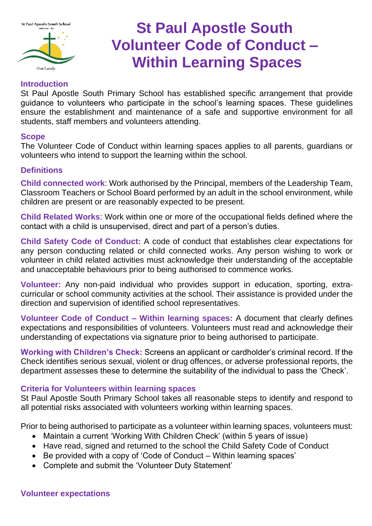

# **St Paul Apostle South Volunteer Code of Conduct – Within Learning Spaces**

## **Introduction**

St Paul Apostle South Primary School has established specific arrangement that provide guidance to volunteers who participate in the school's learning spaces. These guidelines ensure the establishment and maintenance of a safe and supportive environment for all students, staff members and volunteers attending.

### **Scope**

The Volunteer Code of Conduct within learning spaces applies to all parents, guardians or volunteers who intend to support the learning within the school.

## **Definitions**

**Child connected work**: Work authorised by the Principal, members of the Leadership Team, Classroom Teachers or School Board performed by an adult in the school environment, while children are present or are reasonably expected to be present.

**Child Related Works**: Work within one or more of the occupational fields defined where the contact with a child is unsupervised, direct and part of a person's duties.

**Child Safety Code of Conduct:** A code of conduct that establishes clear expectations for any person conducting related or child connected works. Any person wishing to work or volunteer in child related activities must acknowledge their understanding of the acceptable and unacceptable behaviours prior to being authorised to commence works.

**Volunteer:** Any non-paid individual who provides support in education, sporting, extracurricular or school community activities at the school. Their assistance is provided under the direction and supervision of identified school representatives.

**Volunteer Code of Conduct – Within learning spaces:** A document that clearly defines expectations and responsibilities of volunteers. Volunteers must read and acknowledge their understanding of expectations via signature prior to being authorised to participate.

**Working with Children's Check:** Screens an applicant or cardholder's criminal record. If the Check identifies serious sexual, violent or drug offences, or adverse professional reports, the department assesses these to determine the suitability of the individual to pass the 'Check'.

## **Criteria for Volunteers within learning spaces**

St Paul Apostle South Primary School takes all reasonable steps to identify and respond to all potential risks associated with volunteers working within learning spaces.

Prior to being authorised to participate as a volunteer within learning spaces, volunteers must:

- Maintain a current 'Working With Children Check' (within 5 years of issue)
- Have read, signed and returned to the school the Child Safety Code of Conduct
- Be provided with a copy of 'Code of Conduct Within learning spaces'
- Complete and submit the 'Volunteer Duty Statement'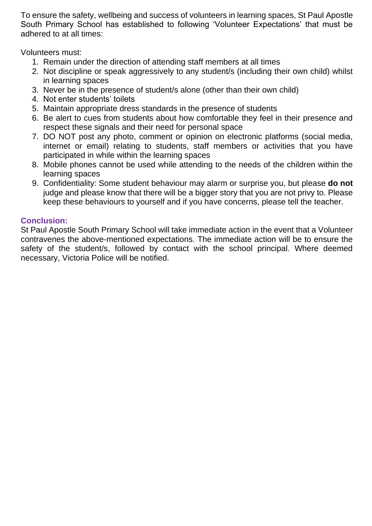To ensure the safety, wellbeing and success of volunteers in learning spaces, St Paul Apostle South Primary School has established to following 'Volunteer Expectations' that must be adhered to at all times:

Volunteers must:

- 1. Remain under the direction of attending staff members at all times
- 2. Not discipline or speak aggressively to any student/s (including their own child) whilst in learning spaces
- 3. Never be in the presence of student/s alone (other than their own child)
- 4. Not enter students' toilets
- 5. Maintain appropriate dress standards in the presence of students
- 6. Be alert to cues from students about how comfortable they feel in their presence and respect these signals and their need for personal space
- 7. DO NOT post any photo, comment or opinion on electronic platforms (social media, internet or email) relating to students, staff members or activities that you have participated in while within the learning spaces
- 8. Mobile phones cannot be used while attending to the needs of the children within the learning spaces
- 9. Confidentiality: Some student behaviour may alarm or surprise you, but please **do not** judge and please know that there will be a bigger story that you are not privy to. Please keep these behaviours to yourself and if you have concerns, please tell the teacher.

## **Conclusion:**

St Paul Apostle South Primary School will take immediate action in the event that a Volunteer contravenes the above-mentioned expectations. The immediate action will be to ensure the safety of the student/s, followed by contact with the school principal. Where deemed necessary, Victoria Police will be notified.